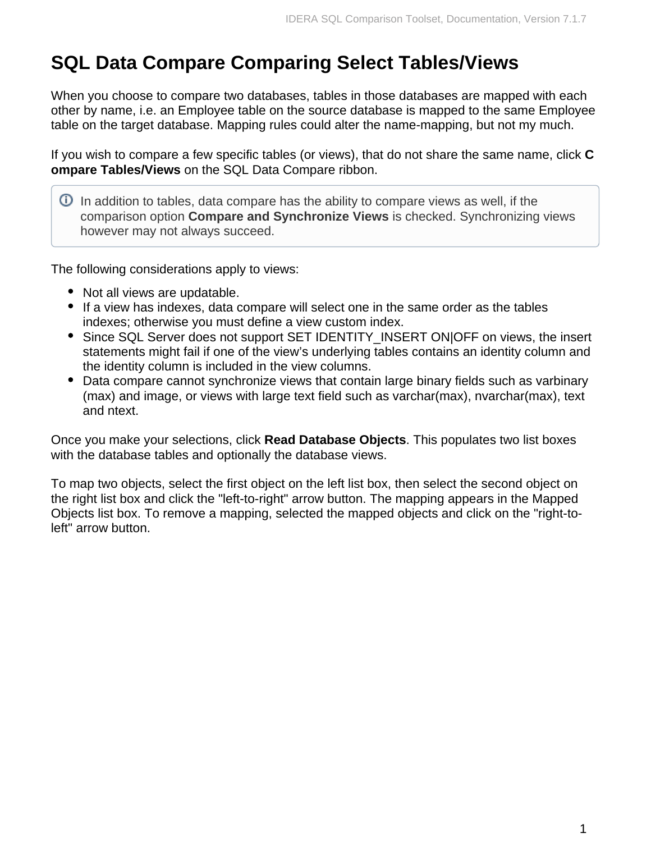## **SQL Data Compare Comparing Select Tables/Views**

When you choose to compare two databases, tables in those databases are mapped with each other by name, i.e. an Employee table on the source database is mapped to the same Employee table on the target database. Mapping rules could alter the name-mapping, but not my much.

If you wish to compare a few specific tables (or views), that do not share the same name, click **C ompare Tables/Views** on the SQL Data Compare ribbon.

 $\overline{0}$  In addition to tables, data compare has the ability to compare views as well, if the comparison option **Compare and Synchronize Views** is checked. Synchronizing views however may not always succeed.

The following considerations apply to views:

- Not all views are updatable.
- If a view has indexes, data compare will select one in the same order as the tables indexes; otherwise you must define a view custom index.
- Since SQL Server does not support SET IDENTITY\_INSERT ON|OFF on views, the insert statements might fail if one of the view's underlying tables contains an identity column and the identity column is included in the view columns.
- Data compare cannot synchronize views that contain large binary fields such as varbinary (max) and image, or views with large text field such as varchar(max), nvarchar(max), text and ntext.

Once you make your selections, click **Read Database Objects**. This populates two list boxes with the database tables and optionally the database views.

To map two objects, select the first object on the left list box, then select the second object on the right list box and click the "left-to-right" arrow button. The mapping appears in the Mapped Objects list box. To remove a mapping, selected the mapped objects and click on the "right-toleft" arrow button.